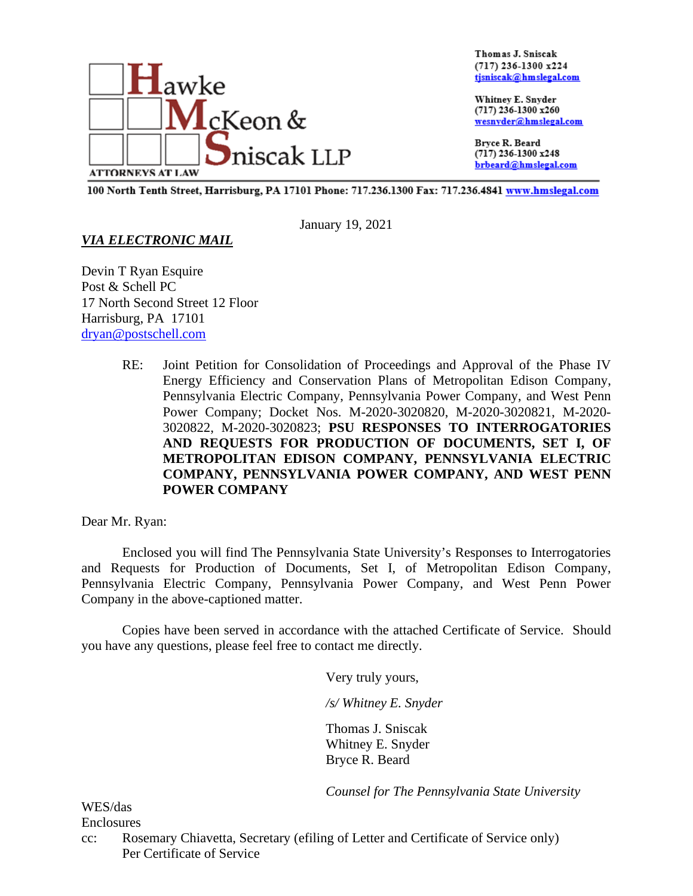

Thomas J. Sniscak (717) 236-1300 x224 tjsniscak@hmslegal.com

Whitney E. Snyder (717) 236-1300 x260 wesnyder@hmslegal.com

Bryce R. Beard  $(717)$  236-1300 x248 brbeard@hmslegal.com

100 North Tenth Street, Harrisburg, PA 17101 Phone: 717.236.1300 Fax: 717.236.4841 www.hmslegal.com

January 19, 2021

## *VIA ELECTRONIC MAIL*

Devin T Ryan Esquire Post & Schell PC 17 North Second Street 12 Floor Harrisburg, PA 17101 [dryan@postschell.com](mailto:dryan@postschell.com)

> RE: Joint Petition for Consolidation of Proceedings and Approval of the Phase IV Energy Efficiency and Conservation Plans of Metropolitan Edison Company, Pennsylvania Electric Company, Pennsylvania Power Company, and West Penn Power Company; Docket Nos. M-2020-3020820, M-2020-3020821, M-2020- 3020822, M-2020-3020823; **PSU RESPONSES TO INTERROGATORIES AND REQUESTS FOR PRODUCTION OF DOCUMENTS, SET I, OF METROPOLITAN EDISON COMPANY, PENNSYLVANIA ELECTRIC COMPANY, PENNSYLVANIA POWER COMPANY, AND WEST PENN POWER COMPANY**

Dear Mr. Ryan:

Enclosed you will find The Pennsylvania State University's Responses to Interrogatories and Requests for Production of Documents, Set I, of Metropolitan Edison Company, Pennsylvania Electric Company, Pennsylvania Power Company, and West Penn Power Company in the above-captioned matter.

Copies have been served in accordance with the attached Certificate of Service. Should you have any questions, please feel free to contact me directly.

Very truly yours,

*/s/ Whitney E. Snyder*

Thomas J. Sniscak Whitney E. Snyder Bryce R. Beard

*Counsel for The Pennsylvania State University* 

WES/das Enclosures

cc: Rosemary Chiavetta, Secretary (efiling of Letter and Certificate of Service only) Per Certificate of Service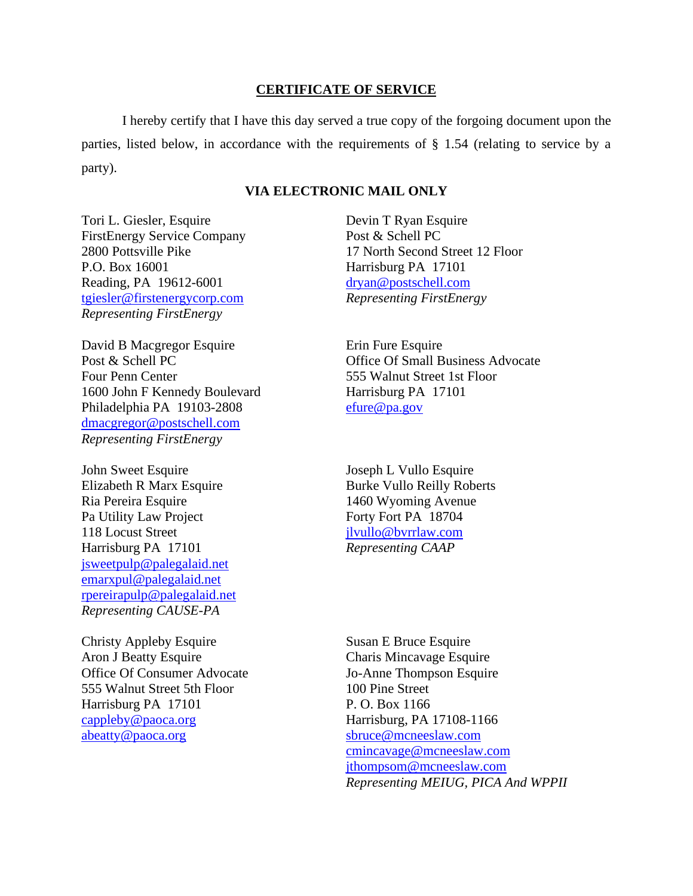## **CERTIFICATE OF SERVICE**

I hereby certify that I have this day served a true copy of the forgoing document upon the parties, listed below, in accordance with the requirements of § 1.54 (relating to service by a party).

## **VIA ELECTRONIC MAIL ONLY**

Tori L. Giesler, Esquire FirstEnergy Service Company 2800 Pottsville Pike P.O. Box 16001 Reading, PA 19612-6001 [tgiesler@firstenergycorp.com](mailto:tgiesler@firstenergycorp.com) *Representing FirstEnergy*

David B Macgregor Esquire Post & Schell PC Four Penn Center 1600 John F Kennedy Boulevard Philadelphia PA 19103-2808 [dmacgregor@postschell.com](mailto:dmacgregor@postschell.com) *Representing FirstEnergy*

John Sweet Esquire Elizabeth R Marx Esquire Ria Pereira Esquire Pa Utility Law Project 118 Locust Street Harrisburg PA 17101 [jsweetpulp@palegalaid.net](mailto:jsweetpulp@palegalaid.net) [emarxpul@palegalaid.net](mailto:emarxpul@palegalaid.net) [rpereirapulp@palegalaid.net](mailto:rpereirapulp@palegalaid.net) *Representing CAUSE-PA*

Christy Appleby Esquire Aron J Beatty Esquire Office Of Consumer Advocate 555 Walnut Street 5th Floor Harrisburg PA 17101 [cappleby@paoca.org](mailto:cappleby@paoca.org) [abeatty@paoca.org](mailto:abeatty@paoca.org)

Devin T Ryan Esquire Post & Schell PC 17 North Second Street 12 Floor Harrisburg PA 17101 [dryan@postschell.com](mailto:dryan@postschell.com) *Representing FirstEnergy*

Erin Fure Esquire Office Of Small Business Advocate 555 Walnut Street 1st Floor Harrisburg PA 17101 [efure@pa.gov](mailto:efure@pa.gov)

Joseph L Vullo Esquire Burke Vullo Reilly Roberts 1460 Wyoming Avenue Forty Fort PA 18704 [jlvullo@bvrrlaw.com](mailto:jlvullo@bvrrlaw.com) *Representing CAAP*

Susan E Bruce Esquire Charis Mincavage Esquire Jo-Anne Thompson Esquire 100 Pine Street P. O. Box 1166 Harrisburg, PA 17108-1166 [sbruce@mcneeslaw.com](mailto:sbruce@mcneeslaw.com) [cmincavage@mcneeslaw.com](mailto:cmincavage@mcneeslaw.com) [jthompsom@mcneeslaw.com](mailto:jthompsom@mcneeslaw.com) *Representing MEIUG, PICA And WPPII*